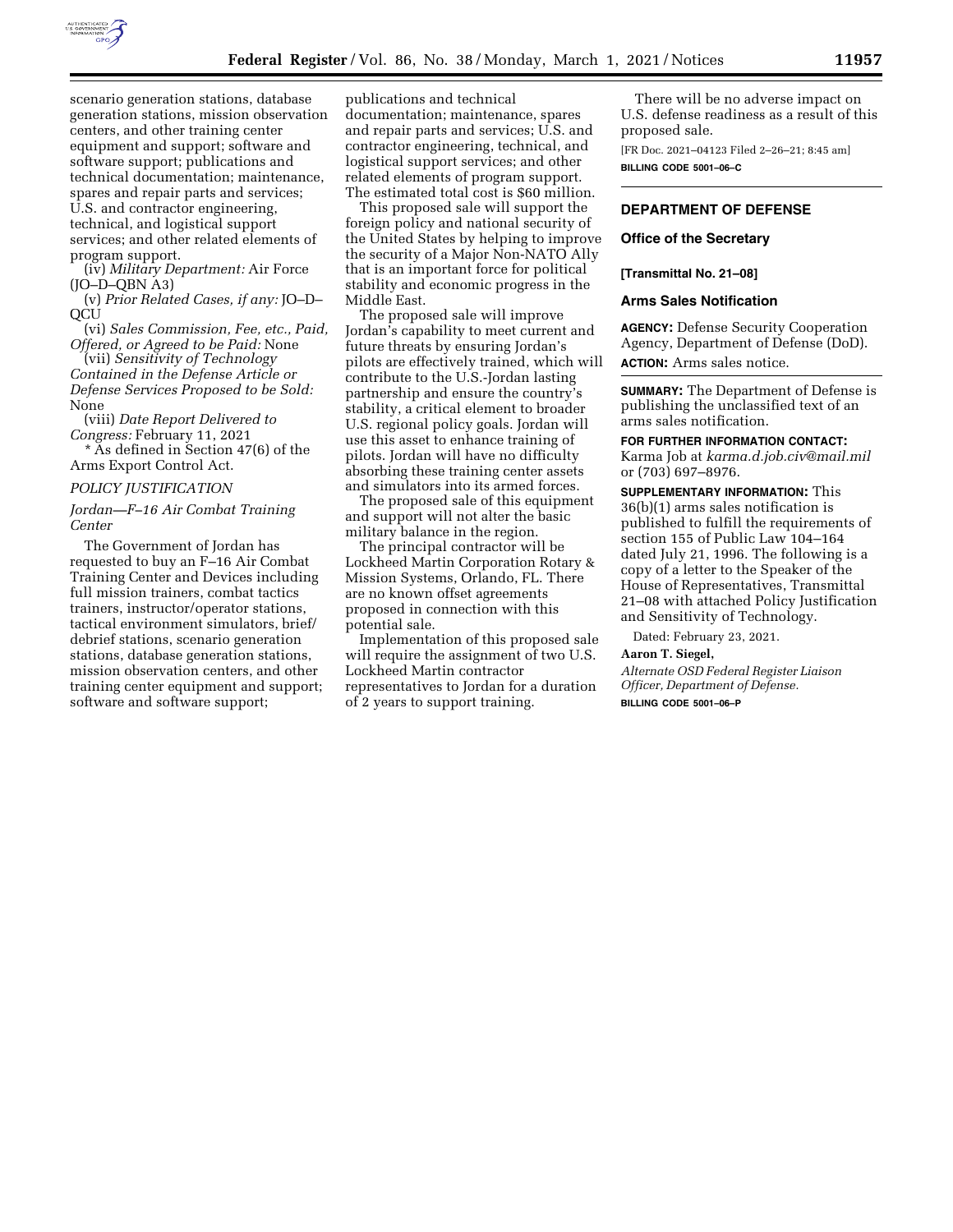

scenario generation stations, database generation stations, mission observation centers, and other training center equipment and support; software and software support; publications and technical documentation; maintenance, spares and repair parts and services; U.S. and contractor engineering, technical, and logistical support services; and other related elements of program support.

(iv) *Military Department:* Air Force (JO–D–QBN A3)

(v) *Prior Related Cases, if any:* JO–D– **QCU** 

(vi) *Sales Commission, Fee, etc., Paid, Offered, or Agreed to be Paid:* None

(vii) *Sensitivity of Technology Contained in the Defense Article or Defense Services Proposed to be Sold:*  None

(viii) *Date Report Delivered to Congress:* February 11, 2021

\* As defined in Section 47(6) of the Arms Export Control Act.

#### *POLICY JUSTIFICATION*

## *Jordan—F–16 Air Combat Training Center*

The Government of Jordan has requested to buy an F–16 Air Combat Training Center and Devices including full mission trainers, combat tactics trainers, instructor/operator stations, tactical environment simulators, brief/ debrief stations, scenario generation stations, database generation stations, mission observation centers, and other training center equipment and support; software and software support;

publications and technical documentation; maintenance, spares and repair parts and services; U.S. and contractor engineering, technical, and logistical support services; and other related elements of program support. The estimated total cost is \$60 million.

This proposed sale will support the foreign policy and national security of the United States by helping to improve the security of a Major Non-NATO Ally that is an important force for political stability and economic progress in the Middle East.

The proposed sale will improve Jordan's capability to meet current and future threats by ensuring Jordan's pilots are effectively trained, which will contribute to the U.S.-Jordan lasting partnership and ensure the country's stability, a critical element to broader U.S. regional policy goals. Jordan will use this asset to enhance training of pilots. Jordan will have no difficulty absorbing these training center assets and simulators into its armed forces.

The proposed sale of this equipment and support will not alter the basic military balance in the region.

The principal contractor will be Lockheed Martin Corporation Rotary & Mission Systems, Orlando, FL. There are no known offset agreements proposed in connection with this potential sale.

Implementation of this proposed sale will require the assignment of two U.S. Lockheed Martin contractor representatives to Jordan for a duration of 2 years to support training.

There will be no adverse impact on U.S. defense readiness as a result of this proposed sale.

[FR Doc. 2021–04123 Filed 2–26–21; 8:45 am] **BILLING CODE 5001–06–C** 

# **DEPARTMENT OF DEFENSE**

## **Office of the Secretary**

#### **[Transmittal No. 21–08]**

### **Arms Sales Notification**

**AGENCY:** Defense Security Cooperation Agency, Department of Defense (DoD). **ACTION:** Arms sales notice.

**SUMMARY:** The Department of Defense is publishing the unclassified text of an arms sales notification.

**FOR FURTHER INFORMATION CONTACT:** 

Karma Job at *[karma.d.job.civ@mail.mil](mailto:karma.d.job.civ@mail.mil)*  or (703) 697–8976.

**SUPPLEMENTARY INFORMATION:** This 36(b)(1) arms sales notification is published to fulfill the requirements of section 155 of Public Law 104–164 dated July 21, 1996. The following is a copy of a letter to the Speaker of the House of Representatives, Transmittal 21–08 with attached Policy Justification and Sensitivity of Technology.

Dated: February 23, 2021.

#### **Aaron T. Siegel,**

*Alternate OSD Federal Register Liaison Officer, Department of Defense.*  **BILLING CODE 5001–06–P**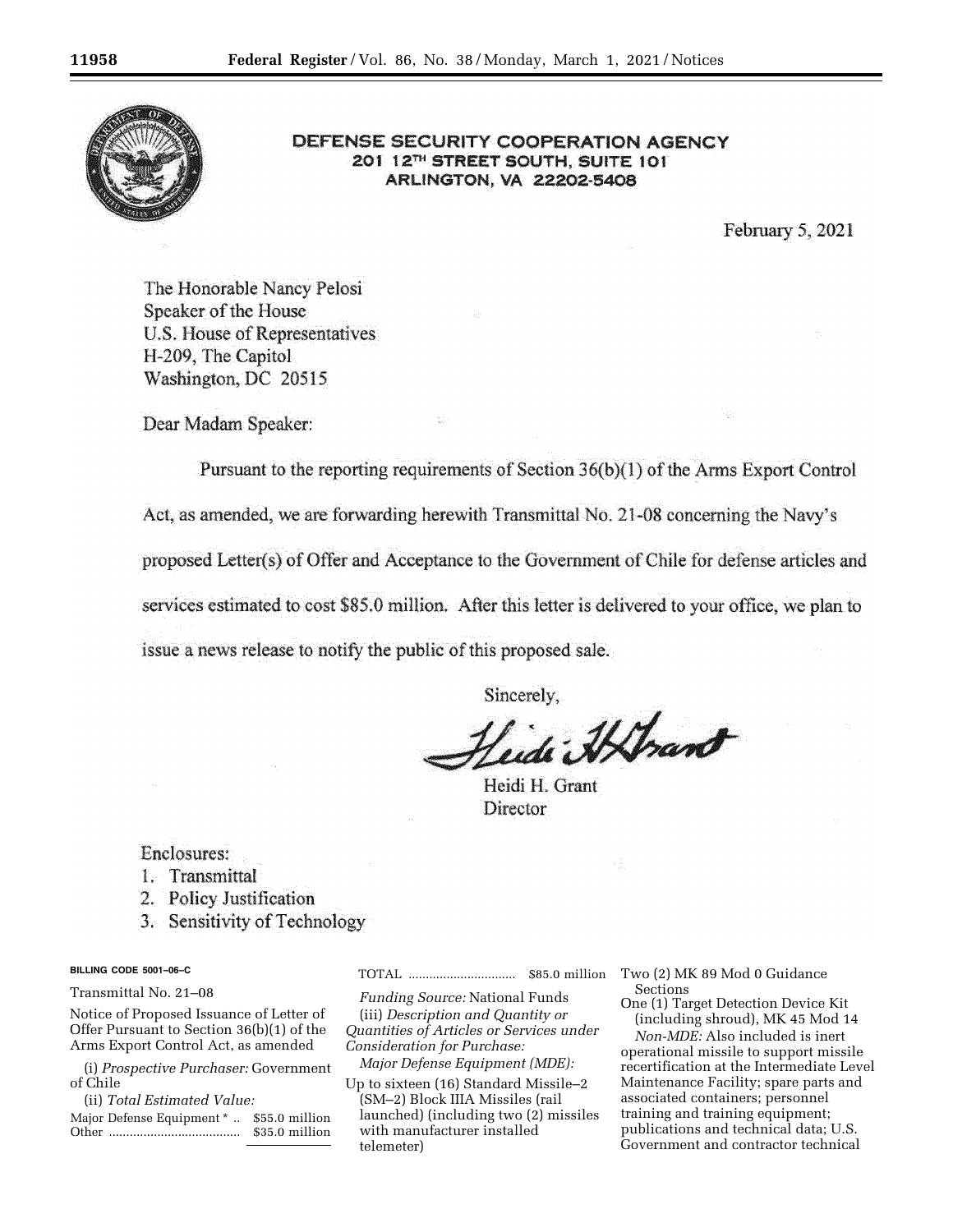

# DEFENSE SECURITY COOPERATION AGENCY 201 12TH STREET SOUTH, SUITE 101 **ARLINGTON, VA 22202-5408**

February 5, 2021

The Honorable Nancy Pelosi Speaker of the House U.S. House of Representatives H-209, The Capitol Washington, DC 20515

Dear Madam Speaker:

Pursuant to the reporting requirements of Section 36(b)(1) of the Arms Export Control

Act, as amended, we are forwarding herewith Transmittal No. 21-08 concerning the Navy's

proposed Letter(s) of Offer and Acceptance to the Government of Chile for defense articles and

services estimated to cost \$85.0 million. After this letter is delivered to your office, we plan to

issue a news release to notify the public of this proposed sale.

Sincerely.

Heidi Athant

Heidi H. Grant **Director** 

Enclosures:

- 1. Transmittal
- 2. Policy Justification
- 3. Sensitivity of Technology

## **BILLING CODE 5001–06–C**

Transmittal No. 21–08

Notice of Proposed Issuance of Letter of Offer Pursuant to Section 36(b)(1) of the Arms Export Control Act, as amended

(i) *Prospective Purchaser:* Government of Chile

(ii) *Total Estimated Value:* 

Major Defense Equipment \* .. \$55.0 million Other ...................................... \$35.0 million TOTAL ............................... \$85.0 million

*Funding Source:* National Funds (iii) *Description and Quantity or Quantities of Articles or Services under* 

*Consideration for Purchase: Major Defense Equipment (MDE):* 

Up to sixteen (16) Standard Missile–2 (SM–2) Block IIIA Missiles (rail launched) (including two (2) missiles with manufacturer installed telemeter)

Two (2) MK 89 Mod 0 Guidance Sections

One (1) Target Detection Device Kit (including shroud), MK 45 Mod 14

*Non-MDE:* Also included is inert operational missile to support missile recertification at the Intermediate Level Maintenance Facility; spare parts and associated containers; personnel training and training equipment; publications and technical data; U.S. Government and contractor technical